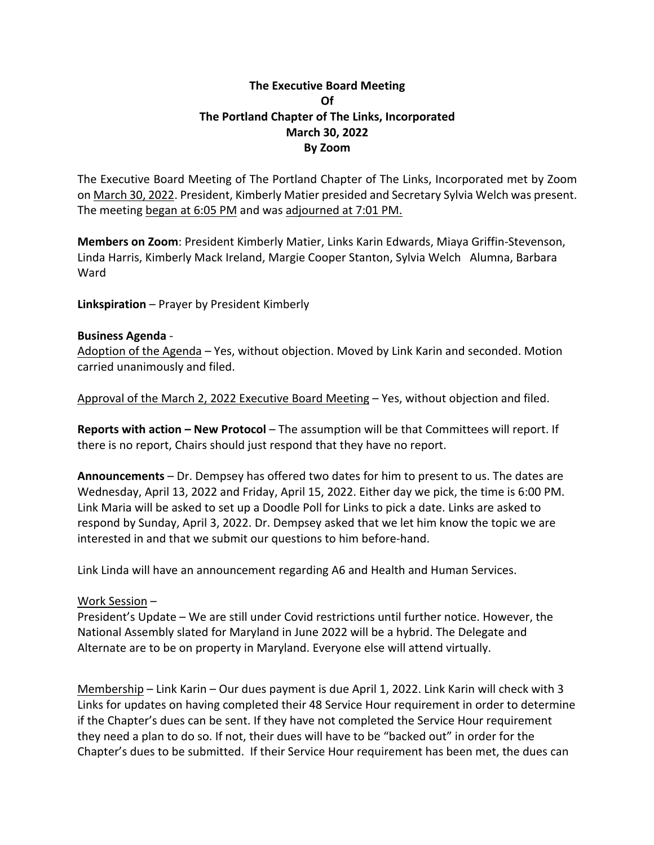## **The Executive Board Meeting Of The Portland Chapter of The Links, Incorporated March 30, 2022 By Zoom**

The Executive Board Meeting of The Portland Chapter of The Links, Incorporated met by Zoom on March 30, 2022. President, Kimberly Matier presided and Secretary Sylvia Welch was present. The meeting began at 6:05 PM and was adjourned at 7:01 PM.

**Members on Zoom**: President Kimberly Matier, Links Karin Edwards, Miaya Griffin-Stevenson, Linda Harris, Kimberly Mack Ireland, Margie Cooper Stanton, Sylvia Welch Alumna, Barbara Ward

**Linkspiration** – Prayer by President Kimberly

## **Business Agenda** -

Adoption of the Agenda – Yes, without objection. Moved by Link Karin and seconded. Motion carried unanimously and filed.

Approval of the March 2, 2022 Executive Board Meeting – Yes, without objection and filed.

**Reports with action – New Protocol** – The assumption will be that Committees will report. If there is no report, Chairs should just respond that they have no report.

**Announcements** – Dr. Dempsey has offered two dates for him to present to us. The dates are Wednesday, April 13, 2022 and Friday, April 15, 2022. Either day we pick, the time is 6:00 PM. Link Maria will be asked to set up a Doodle Poll for Links to pick a date. Links are asked to respond by Sunday, April 3, 2022. Dr. Dempsey asked that we let him know the topic we are interested in and that we submit our questions to him before-hand.

Link Linda will have an announcement regarding A6 and Health and Human Services.

## Work Session –

President's Update – We are still under Covid restrictions until further notice. However, the National Assembly slated for Maryland in June 2022 will be a hybrid. The Delegate and Alternate are to be on property in Maryland. Everyone else will attend virtually.

Membership – Link Karin – Our dues payment is due April 1, 2022. Link Karin will check with 3 Links for updates on having completed their 48 Service Hour requirement in order to determine if the Chapter's dues can be sent. If they have not completed the Service Hour requirement they need a plan to do so. If not, their dues will have to be "backed out" in order for the Chapter's dues to be submitted. If their Service Hour requirement has been met, the dues can